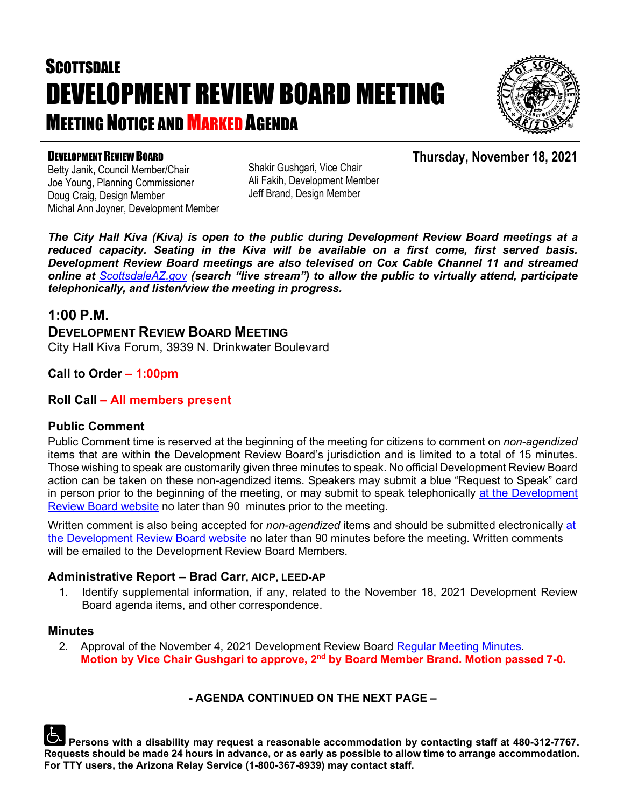# **SCOTTSDALE** DEVELOPMENT REVIEW BOARD MEETING **MEETING NOTICE AND MARKED AGENDA**



#### DEVELOPMENT REVIEW BOARD

Betty Janik, Council Member/Chair Joe Young, Planning Commissioner Doug Craig, Design Member Michal Ann Joyner, Development Member Shakir Gushgari, Vice Chair Ali Fakih, Development Member Jeff Brand, Design Member

*The City Hall Kiva (Kiva) is open to the public during Development Review Board meetings at a reduced capacity. Seating in the Kiva will be available on a first come, first served basis. Development Review Board meetings are also televised on Cox Cable Channel 11 and streamed online at [ScottsdaleAZ.gov](http://www.scottsdaleaz.gov/) (search "live stream") to allow the public to virtually attend, participate telephonically, and listen/view the meeting in progress.*

# **1:00 P.M.**

**DEVELOPMENT REVIEW BOARD MEETING**  City Hall Kiva Forum, 3939 N. Drinkwater Boulevard

**Call to Order – 1:00pm**

### **Roll Call – All members present**

#### **Public Comment**

Public Comment time is reserved at the beginning of the meeting for citizens to comment on *non-agendized* items that are within the Development Review Board's jurisdiction and is limited to a total of 15 minutes. Those wishing to speak are customarily given three minutes to speak. No official Development Review Board action can be taken on these non-agendized items. Speakers may submit a blue "Request to Speak" card in person prior to the beginning of the meeting, or may submit to speak telephonically at the Development [Review Board website](https://www.scottsdaleaz.gov/boards/development-review-board/spoken-comment) no later than 90 minutes prior to the meeting.

Written comment is also being accepted for *non-agendized* items and should be submitted electronically [at](https://www.scottsdaleaz.gov/boards/development-review-board/public-comment)  [the Development Review Board website](https://www.scottsdaleaz.gov/boards/development-review-board/public-comment) no later than 90 minutes before the meeting. Written comments will be emailed to the Development Review Board Members.

## **Administrative Report – Brad Carr, AICP, LEED-AP**

1. Identify supplemental information, if any, related to the November 18, 2021 Development Review Board agenda items, and other correspondence.

#### **Minutes**

2. Approval of the November 4, 2021 Development Review Board [Regular Meeting Minutes.](https://eservices.scottsdaleaz.gov/planning/projectsummary/unrelated_documents/DRB_MEETING_MINUTES_11042021.pdf) **Motion by Vice Chair Gushgari to approve, 2nd by Board Member Brand. Motion passed 7-0.**

## **- AGENDA CONTINUED ON THE NEXT PAGE –**

**Persons with a disability may request a reasonable accommodation by contacting staff at 480-312-7767. Requests should be made 24 hours in advance, or as early as possible to allow time to arrange accommodation. For TTY users, the Arizona Relay Service (1-800-367-8939) may contact staff.**

# **Thursday, November 18, 2021**